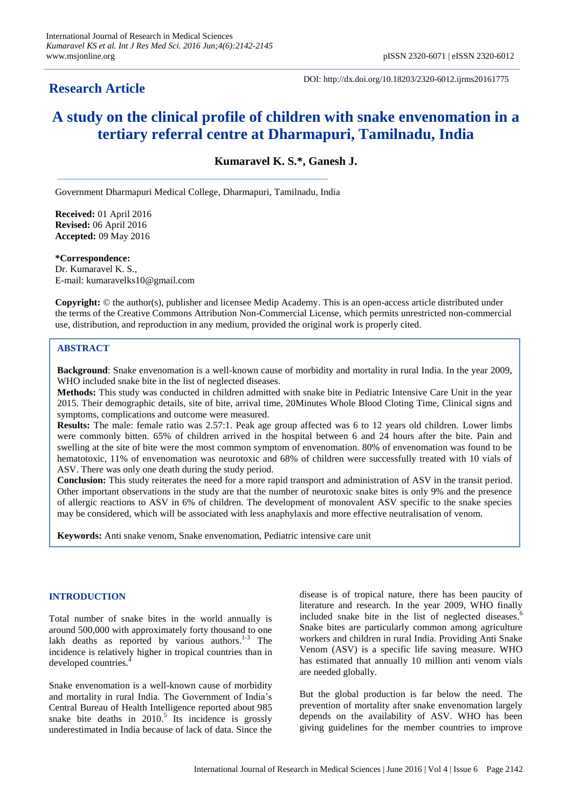# **Research Article**

DOI: http://dx.doi.org/10.18203/2320-6012.ijrms20161775

# **A study on the clinical profile of children with snake envenomation in a tertiary referral centre at Dharmapuri, Tamilnadu, India**

**Kumaravel K. S.\*, Ganesh J.**

Government Dharmapuri Medical College, Dharmapuri, Tamilnadu, India

**Received:** 01 April 2016 **Revised:** 06 April 2016 **Accepted:** 09 May 2016

**\*Correspondence:** Dr. Kumaravel K. S., E-mail: kumaravelks10@gmail.com

**Copyright:** © the author(s), publisher and licensee Medip Academy. This is an open-access article distributed under the terms of the Creative Commons Attribution Non-Commercial License, which permits unrestricted non-commercial use, distribution, and reproduction in any medium, provided the original work is properly cited.

## **ABSTRACT**

**Background**: Snake envenomation is a well-known cause of morbidity and mortality in rural India. In the year 2009, WHO included snake bite in the list of neglected diseases.

**Methods:** This study was conducted in children admitted with snake bite in Pediatric Intensive Care Unit in the year 2015. Their demographic details, site of bite, arrival time, 20Minutes Whole Blood Cloting Time, Clinical signs and symptoms, complications and outcome were measured.

**Results:** The male: female ratio was 2.57:1. Peak age group affected was 6 to 12 years old children. Lower limbs were commonly bitten. 65% of children arrived in the hospital between 6 and 24 hours after the bite. Pain and swelling at the site of bite were the most common symptom of envenomation. 80% of envenomation was found to be hematotoxic, 11% of envenomation was neurotoxic and 68% of children were successfully treated with 10 vials of ASV. There was only one death during the study period.

**Conclusion:** This study reiterates the need for a more rapid transport and administration of ASV in the transit period. Other important observations in the study are that the number of neurotoxic snake bites is only 9% and the presence of allergic reactions to ASV in 6% of children. The development of monovalent ASV specific to the snake species may be considered, which will be associated with less anaphylaxis and more effective neutralisation of venom.

**Keywords:** Anti snake venom, Snake envenomation, Pediatric intensive care unit

## **INTRODUCTION**

Total number of snake bites in the world annually is around 500,000 with approximately forty thousand to one lakh deaths as reported by various authors.<sup>1-3</sup> The incidence is relatively higher in tropical countries than in developed countries.

Snake envenomation is a well-known cause of morbidity and mortality in rural India. The Government of India's Central Bureau of Health Intelligence reported about 985 snake bite deaths in  $2010$ <sup>5</sup>. Its incidence is grossly underestimated in India because of lack of data. Since the

disease is of tropical nature, there has been paucity of literature and research. In the year 2009, WHO finally included snake bite in the list of neglected diseases.<sup>6</sup> Snake bites are particularly common among agriculture workers and children in rural India. Providing Anti Snake Venom (ASV) is a specific life saving measure. WHO has estimated that annually 10 million anti venom vials are needed globally.

But the global production is far below the need. The prevention of mortality after snake envenomation largely depends on the availability of ASV. WHO has been giving guidelines for the member countries to improve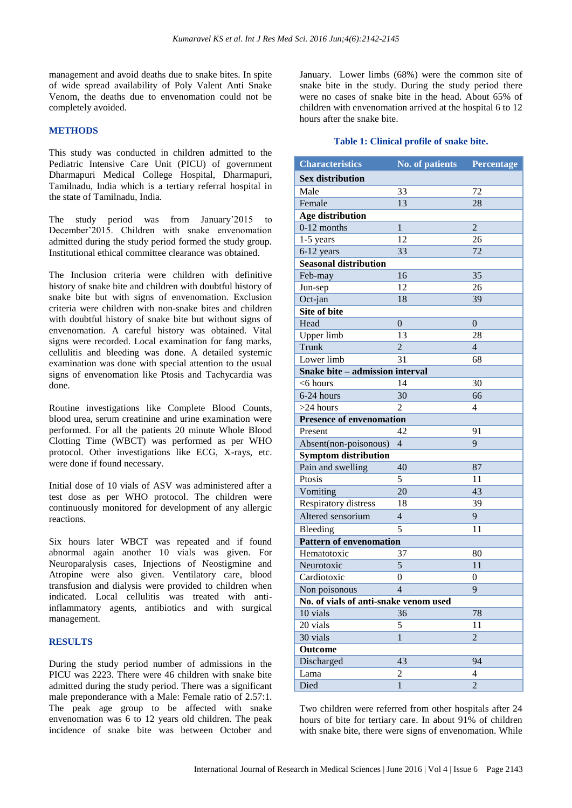management and avoid deaths due to snake bites. In spite of wide spread availability of Poly Valent Anti Snake Venom, the deaths due to envenomation could not be completely avoided.

#### **METHODS**

This study was conducted in children admitted to the Pediatric Intensive Care Unit (PICU) of government Dharmapuri Medical College Hospital, Dharmapuri, Tamilnadu, India which is a tertiary referral hospital in the state of Tamilnadu, India.

The study period was from January'2015 to December'2015. Children with snake envenomation admitted during the study period formed the study group. Institutional ethical committee clearance was obtained.

The Inclusion criteria were children with definitive history of snake bite and children with doubtful history of snake bite but with signs of envenomation. Exclusion criteria were children with non-snake bites and children with doubtful history of snake bite but without signs of envenomation. A careful history was obtained. Vital signs were recorded. Local examination for fang marks, cellulitis and bleeding was done. A detailed systemic examination was done with special attention to the usual signs of envenomation like Ptosis and Tachycardia was done.

Routine investigations like Complete Blood Counts, blood urea, serum creatinine and urine examination were performed. For all the patients 20 minute Whole Blood Clotting Time (WBCT) was performed as per WHO protocol. Other investigations like ECG, X-rays, etc. were done if found necessary.

Initial dose of 10 vials of ASV was administered after a test dose as per WHO protocol. The children were continuously monitored for development of any allergic reactions.

Six hours later WBCT was repeated and if found abnormal again another 10 vials was given. For Neuroparalysis cases, Injections of Neostigmine and Atropine were also given. Ventilatory care, blood transfusion and dialysis were provided to children when indicated. Local cellulitis was treated with antiinflammatory agents, antibiotics and with surgical management.

#### **RESULTS**

During the study period number of admissions in the PICU was 2223. There were 46 children with snake bite admitted during the study period. There was a significant male preponderance with a Male: Female ratio of 2.57:1. The peak age group to be affected with snake envenomation was 6 to 12 years old children. The peak incidence of snake bite was between October and January. Lower limbs (68%) were the common site of snake bite in the study. During the study period there were no cases of snake bite in the head. About 65% of children with envenomation arrived at the hospital 6 to 12 hours after the snake bite.

#### **Table 1: Clinical profile of snake bite.**

| <b>Characteristics</b>                | <b>No. of patients</b> | <b>Percentage</b>        |  |
|---------------------------------------|------------------------|--------------------------|--|
| <b>Sex distribution</b>               |                        |                          |  |
| Male                                  | 33                     | 72                       |  |
| Female                                | 13                     | 28                       |  |
| <b>Age distribution</b>               |                        |                          |  |
| $0-12$ months                         | $\mathbf{1}$           | $\overline{2}$           |  |
| $1-5$ years                           | 12                     | 26                       |  |
| 6-12 years                            | 33                     | 72                       |  |
| <b>Seasonal distribution</b>          |                        |                          |  |
| Feb-may                               | 16                     | 35                       |  |
| Jun-sep                               | 12                     | 26                       |  |
| Oct-jan                               | 18                     | 39                       |  |
| Site of bite                          |                        |                          |  |
| Head                                  | $\overline{0}$         | $\mathbf{0}$             |  |
| Upper limb                            | 13                     | 28                       |  |
| Trunk                                 | $\overline{c}$         | $\overline{4}$           |  |
| Lower limb                            | 31                     | 68                       |  |
| Snake bite - admission interval       |                        |                          |  |
| $<$ 6 hours                           | 14                     | 30                       |  |
| 6-24 hours                            | 30                     | 66                       |  |
| $>24$ hours                           | $\overline{c}$         | 4                        |  |
| <b>Presence of envenomation</b>       |                        |                          |  |
| Present                               | 42                     | 91                       |  |
| Absent(non-poisonous)                 | $\overline{4}$         | 9                        |  |
| <b>Symptom distribution</b>           |                        |                          |  |
| Pain and swelling                     | 40                     | 87                       |  |
| Ptosis                                | 5                      | 11                       |  |
| Vomiting                              | 20                     | 43                       |  |
| Respiratory distress                  | 18                     | 39                       |  |
| Altered sensorium                     | 4                      | 9                        |  |
| Bleeding                              | 5                      | 11                       |  |
| <b>Pattern of envenomation</b>        |                        |                          |  |
| Hematotoxic                           | 37                     | 80                       |  |
| Neurotoxic                            | 5                      | 11                       |  |
| Cardiotoxic                           | 0                      | 0                        |  |
| Non poisonous                         | $\overline{4}$         | 9                        |  |
| No. of vials of anti-snake venom used |                        |                          |  |
| 10 vials                              | 36                     | 78                       |  |
| 20 vials                              | 5                      | 11                       |  |
| 30 vials                              | $\mathbf{1}$           | $\overline{2}$           |  |
| Outcome                               |                        |                          |  |
| Discharged                            | 43                     | 94                       |  |
| Lama                                  | 2                      | $\overline{\mathcal{L}}$ |  |
| Died                                  | $\mathbf{1}$           | $\overline{2}$           |  |

Two children were referred from other hospitals after 24 hours of bite for tertiary care. In about 91% of children with snake bite, there were signs of envenomation. While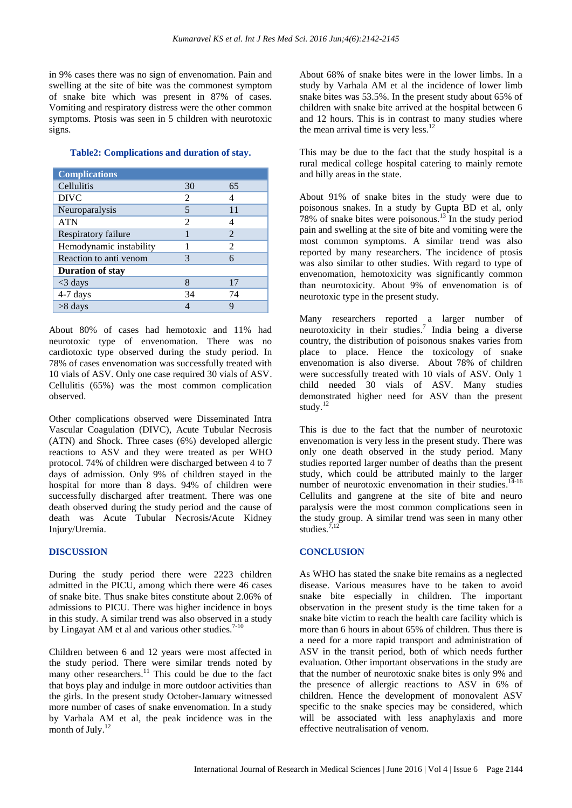in 9% cases there was no sign of envenomation. Pain and swelling at the site of bite was the commonest symptom of snake bite which was present in 87% of cases. Vomiting and respiratory distress were the other common symptoms. Ptosis was seen in 5 children with neurotoxic signs.

#### **Table2: Complications and duration of stay.**

| <b>Complications</b>    |    |    |  |
|-------------------------|----|----|--|
| Cellulitis              | 30 | 65 |  |
| <b>DIVC</b>             | 2  | 4  |  |
| Neuroparalysis          | 5  | 11 |  |
| <b>ATN</b>              | 2  |    |  |
| Respiratory failure     |    | 2  |  |
| Hemodynamic instability |    | 2  |  |
| Reaction to anti venom  | 3  | 6  |  |
| <b>Duration of stay</b> |    |    |  |
| $<$ 3 days              | 8  | 17 |  |
| 4-7 days                | 34 | 74 |  |
| $>8$ days               | 4  | q  |  |

About 80% of cases had hemotoxic and 11% had neurotoxic type of envenomation. There was no cardiotoxic type observed during the study period. In 78% of cases envenomation was successfully treated with 10 vials of ASV. Only one case required 30 vials of ASV. Cellulitis (65%) was the most common complication observed.

Other complications observed were Disseminated Intra Vascular Coagulation (DIVC), Acute Tubular Necrosis (ATN) and Shock. Three cases (6%) developed allergic reactions to ASV and they were treated as per WHO protocol. 74% of children were discharged between 4 to 7 days of admission. Only 9% of children stayed in the hospital for more than 8 days. 94% of children were successfully discharged after treatment. There was one death observed during the study period and the cause of death was Acute Tubular Necrosis/Acute Kidney Injury/Uremia.

#### **DISCUSSION**

During the study period there were 2223 children admitted in the PICU, among which there were 46 cases of snake bite. Thus snake bites constitute about 2.06% of admissions to PICU. There was higher incidence in boys in this study. A similar trend was also observed in a study by Lingayat AM et al and various other studies. $7-10$ 

Children between 6 and 12 years were most affected in the study period. There were similar trends noted by many other researchers.<sup>11</sup> This could be due to the fact that boys play and indulge in more outdoor activities than the girls. In the present study October-January witnessed more number of cases of snake envenomation. In a study by Varhala AM et al, the peak incidence was in the month of July. $^{12}$ 

About 68% of snake bites were in the lower limbs. In a study by Varhala AM et al the incidence of lower limb snake bites was 53.5%. In the present study about 65% of children with snake bite arrived at the hospital between 6 and 12 hours. This is in contrast to many studies where the mean arrival time is very less. $12$ 

This may be due to the fact that the study hospital is a rural medical college hospital catering to mainly remote and hilly areas in the state.

About 91% of snake bites in the study were due to poisonous snakes. In a study by Gupta BD et al, only  $78\%$  of snake bites were poisonous.<sup>13</sup> In the study period pain and swelling at the site of bite and vomiting were the most common symptoms. A similar trend was also reported by many researchers. The incidence of ptosis was also similar to other studies. With regard to type of envenomation, hemotoxicity was significantly common than neurotoxicity. About 9% of envenomation is of neurotoxic type in the present study.

Many researchers reported a larger number of neurotoxicity in their studies. 7 India being a diverse country, the distribution of poisonous snakes varies from place to place. Hence the toxicology of snake envenomation is also diverse. About 78% of children were successfully treated with 10 vials of ASV. Only 1 child needed 30 vials of ASV. Many studies demonstrated higher need for ASV than the present study. 12

This is due to the fact that the number of neurotoxic envenomation is very less in the present study. There was only one death observed in the study period. Many studies reported larger number of deaths than the present study, which could be attributed mainly to the larger number of neurotoxic envenomation in their studies.<sup>14-16</sup> Cellulits and gangrene at the site of bite and neuro paralysis were the most common complications seen in the study group. A similar trend was seen in many other studies.<sup>7,12</sup>

#### **CONCLUSION**

As WHO has stated the snake bite remains as a neglected disease. Various measures have to be taken to avoid snake bite especially in children. The important observation in the present study is the time taken for a snake bite victim to reach the health care facility which is more than 6 hours in about 65% of children. Thus there is a need for a more rapid transport and administration of ASV in the transit period, both of which needs further evaluation. Other important observations in the study are that the number of neurotoxic snake bites is only 9% and the presence of allergic reactions to ASV in 6% of children. Hence the development of monovalent ASV specific to the snake species may be considered, which will be associated with less anaphylaxis and more effective neutralisation of venom.